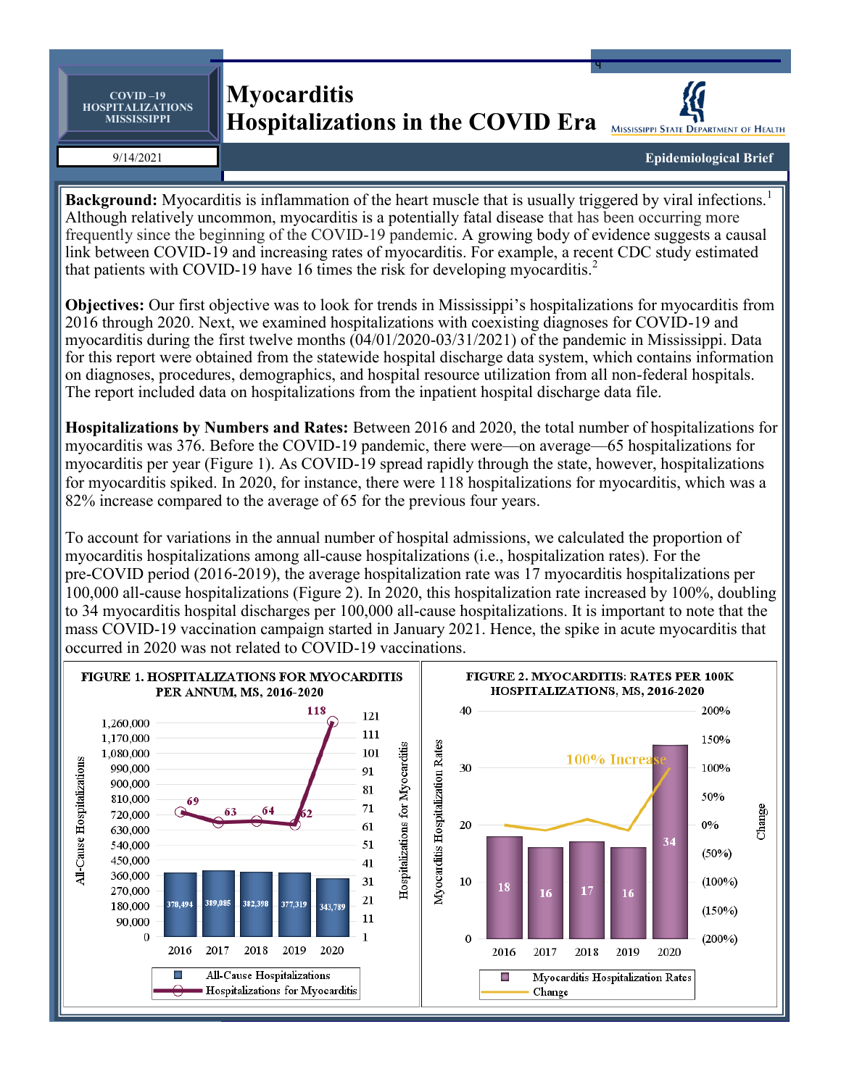**COVID –19 HOSPITALIZATIONS MISSISSIPPI**

## **Myocarditis Hospitalizations in the COVID Era**



q

9/14/2021

**Epidemiological Brief**

**Background:** Myocarditis is inflammation of the heart muscle that is usually triggered by viral infections.<sup>1</sup> Although relatively uncommon, myocarditis is a potentially fatal disease that has been occurring more frequently since the beginning of the COVID-19 pandemic. A growing body of evidence suggests a causal link between COVID-19 and increasing rates of myocarditis. For example, a recent CDC study estimated that patients with COVID-19 have 16 times the risk for developing myocarditis.<sup>2</sup>

**Objectives:** Our first objective was to look for trends in Mississippi's hospitalizations for myocarditis from 2016 through 2020. Next, we examined hospitalizations with coexisting diagnoses for COVID-19 and myocarditis during the first twelve months (04/01/2020-03/31/2021) of the pandemic in Mississippi. Data for this report were obtained from the statewide hospital discharge data system, which contains information on diagnoses, procedures, demographics, and hospital resource utilization from all non-federal hospitals. The report included data on hospitalizations from the inpatient hospital discharge data file.

**Hospitalizations by Numbers and Rates:** Between 2016 and 2020, the total number of hospitalizations for myocarditis was 376. Before the COVID-19 pandemic, there were—on average—65 hospitalizations for myocarditis per year (Figure 1). As COVID-19 spread rapidly through the state, however, hospitalizations for myocarditis spiked. In 2020, for instance, there were 118 hospitalizations for myocarditis, which was a 82% increase compared to the average of 65 for the previous four years.

To account for variations in the annual number of hospital admissions, we calculated the proportion of myocarditis hospitalizations among all-cause hospitalizations (i.e., hospitalization rates). For the pre-COVID period (2016-2019), the average hospitalization rate was 17 myocarditis hospitalizations per 100,000 all-cause hospitalizations (Figure 2). In 2020, this hospitalization rate increased by 100%, doubling to 34 myocarditis hospital discharges per 100,000 all-cause hospitalizations. It is important to note that the mass COVID-19 vaccination campaign started in January 2021. Hence, the spike in acute myocarditis that occurred in 2020 was not related to COVID-19 vaccinations.